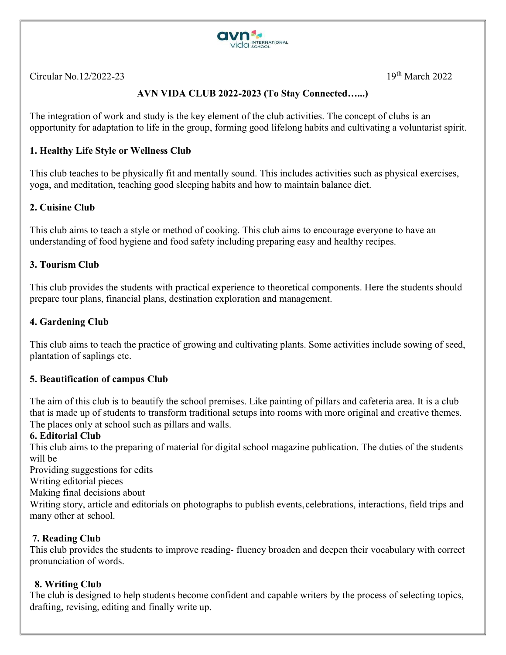

Circular No.12/2022-23  $19<sup>th</sup> March 2022$ 

# AVN VIDA CLUB 2022-2023 (To Stay Connected…...)

The integration of work and study is the key element of the club activities. The concept of clubs is an opportunity for adaptation to life in the group, forming good lifelong habits and cultivating a voluntarist spirit.

## 1. Healthy Life Style or Wellness Club

This club teaches to be physically fit and mentally sound. This includes activities such as physical exercises, yoga, and meditation, teaching good sleeping habits and how to maintain balance diet.

### 2. Cuisine Club

This club aims to teach a style or method of cooking. This club aims to encourage everyone to have an understanding of food hygiene and food safety including preparing easy and healthy recipes.

### 3. Tourism Club

This club provides the students with practical experience to theoretical components. Here the students should prepare tour plans, financial plans, destination exploration and management.

## 4. Gardening Club

This club aims to teach the practice of growing and cultivating plants. Some activities include sowing of seed, plantation of saplings etc.

### 5. Beautification of campus Club

The aim of this club is to beautify the school premises. Like painting of pillars and cafeteria area. It is a club that is made up of students to transform traditional setups into rooms with more original and creative themes. The places only at school such as pillars and walls.

### 6. Editorial Club

This club aims to the preparing of material for digital school magazine publication. The duties of the students will be

Providing suggestions for edits

Writing editorial pieces

Making final decisions about

Writing story, article and editorials on photographs to publish events, celebrations, interactions, field trips and many other at school.

### 7. Reading Club

This club provides the students to improve reading- fluency broaden and deepen their vocabulary with correct pronunciation of words.

### 8. Writing Club

The club is designed to help students become confident and capable writers by the process of selecting topics, drafting, revising, editing and finally write up.